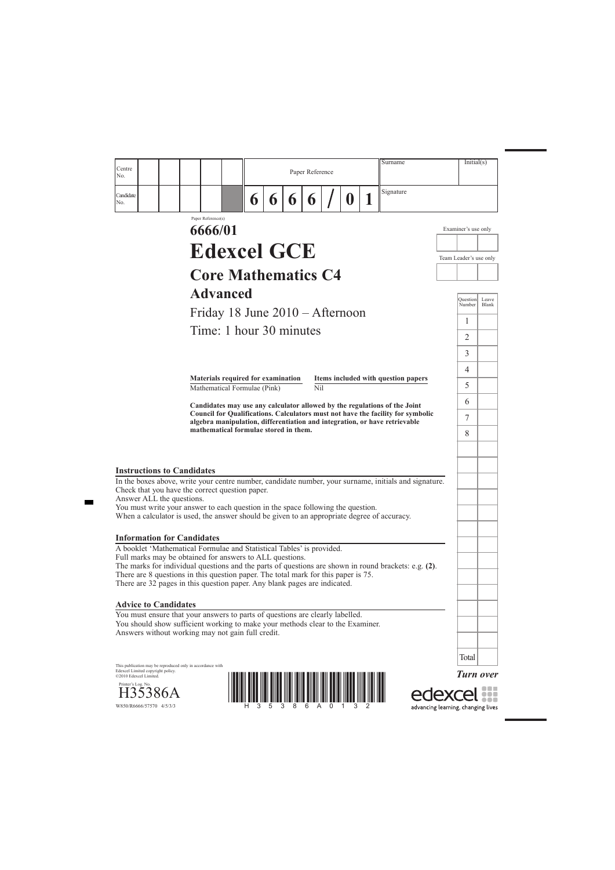*Turn over*

edexcel



| Centre<br>No.                     |                                                                                                                                                                                                                                           |                       |   |   | Paper Reference       |             | Surname                                                                         | Initial(s)                |                       |
|-----------------------------------|-------------------------------------------------------------------------------------------------------------------------------------------------------------------------------------------------------------------------------------------|-----------------------|---|---|-----------------------|-------------|---------------------------------------------------------------------------------|---------------------------|-----------------------|
| Candidate<br>No.                  |                                                                                                                                                                                                                                           | $\boldsymbol{\theta}$ | 6 | 6 | $\boldsymbol{\theta}$ | $\mathbf 0$ | Signature                                                                       |                           |                       |
|                                   | Paper Reference(s)<br>6666/01                                                                                                                                                                                                             |                       |   |   |                       |             |                                                                                 | Examiner's use only       |                       |
|                                   | <b>Edexcel GCE</b>                                                                                                                                                                                                                        |                       |   |   |                       |             |                                                                                 | Team Leader's use only    |                       |
|                                   | <b>Core Mathematics C4</b>                                                                                                                                                                                                                |                       |   |   |                       |             |                                                                                 |                           |                       |
|                                   | <b>Advanced</b>                                                                                                                                                                                                                           |                       |   |   |                       |             |                                                                                 |                           |                       |
|                                   | Friday 18 June 2010 – Afternoon                                                                                                                                                                                                           |                       |   |   |                       |             |                                                                                 | <b>Question</b><br>Number | Leave<br><b>Blank</b> |
|                                   | Time: 1 hour 30 minutes                                                                                                                                                                                                                   |                       |   |   |                       |             |                                                                                 | 1                         |                       |
|                                   |                                                                                                                                                                                                                                           |                       |   |   |                       |             |                                                                                 | 2                         |                       |
|                                   |                                                                                                                                                                                                                                           |                       |   |   |                       |             |                                                                                 | 3                         |                       |
|                                   | <b>Materials required for examination</b>                                                                                                                                                                                                 |                       |   |   |                       |             | Items included with question papers                                             | 4                         |                       |
|                                   | Mathematical Formulae (Pink)                                                                                                                                                                                                              |                       |   |   | Nil                   |             |                                                                                 | 5                         |                       |
|                                   | Candidates may use any calculator allowed by the regulations of the Joint                                                                                                                                                                 |                       |   |   |                       |             | Council for Qualifications. Calculators must not have the facility for symbolic | 6<br>$\tau$               |                       |
|                                   | algebra manipulation, differentiation and integration, or have retrievable<br>mathematical formulae stored in them.                                                                                                                       |                       |   |   |                       |             |                                                                                 | 8                         |                       |
| <b>Instructions to Candidates</b> |                                                                                                                                                                                                                                           |                       |   |   |                       |             |                                                                                 |                           |                       |
| Answer ALL the questions.         | In the boxes above, write your centre number, candidate number, your surname, initials and signature.<br>Check that you have the correct question paper.                                                                                  |                       |   |   |                       |             |                                                                                 |                           |                       |
|                                   | You must write your answer to each question in the space following the question.<br>When a calculator is used, the answer should be given to an appropriate degree of accuracy.                                                           |                       |   |   |                       |             |                                                                                 |                           |                       |
|                                   | <b>Information for Candidates</b>                                                                                                                                                                                                         |                       |   |   |                       |             |                                                                                 |                           |                       |
|                                   | A booklet 'Mathematical Formulae and Statistical Tables' is provided.<br>Full marks may be obtained for answers to ALL questions.<br>The marks for individual questions and the parts of questions are shown in round brackets: e.g. (2). |                       |   |   |                       |             |                                                                                 |                           |                       |
|                                   | There are 8 questions in this question paper. The total mark for this paper is 75.<br>There are 32 pages in this question paper. Any blank pages are indicated.                                                                           |                       |   |   |                       |             |                                                                                 |                           |                       |
| <b>Advice to Candidates</b>       |                                                                                                                                                                                                                                           |                       |   |   |                       |             |                                                                                 |                           |                       |
|                                   | You must ensure that your answers to parts of questions are clearly labelled.                                                                                                                                                             |                       |   |   |                       |             |                                                                                 |                           |                       |

This publication may be reproduced only in accordance with Edexcel Limited copyright policy. ©2010 Edexcel Limited.

Printer's Log. No.<br>H35386A

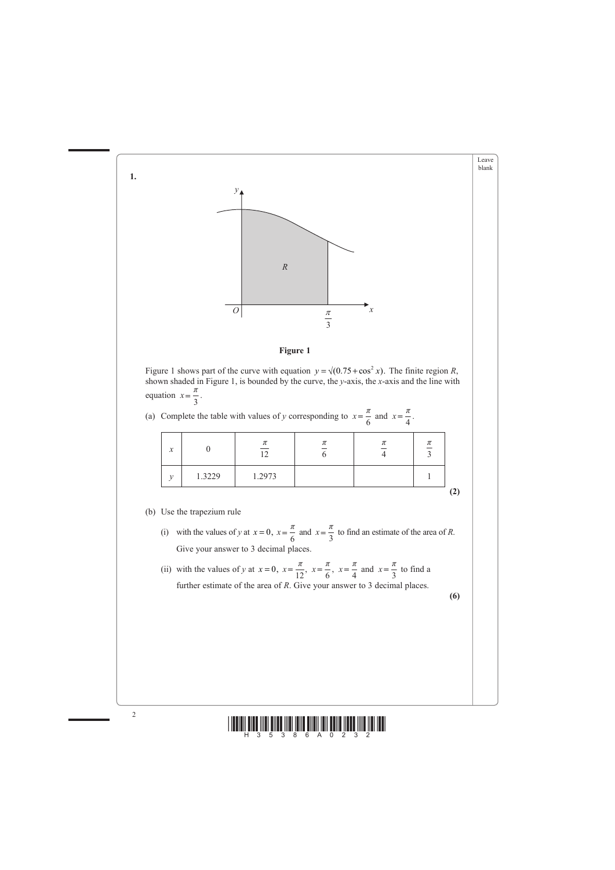



- (i) with the values of *y* at  $x = 0$ ,  $x = \frac{\pi}{6}$  and  $x = \frac{\pi}{6}$ *π*  $\frac{\pi}{3}$  to find an estimate of the area of *R*. Give your answer to 3 decimal places.
- (ii) with the values of *y* at  $x = 0$ ,  $x = \frac{\pi}{12}$ ,  $x = \frac{\pi}{6}$ ,  $x = \frac{\pi}{4}$  and  $x = \frac{\pi}{3}$  to find a further estimate of the area of *R*. Give your answer to 3 decimal places.



**(6)**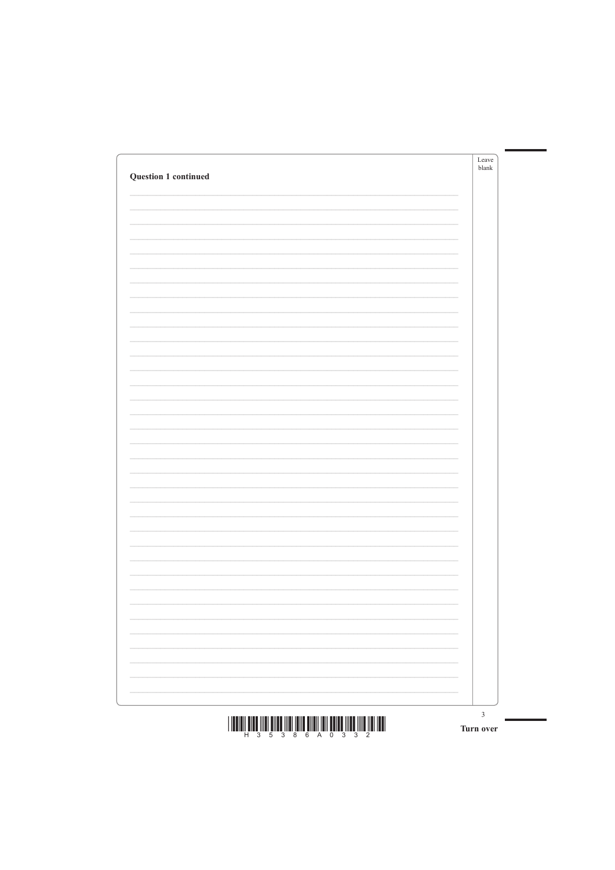| Question 1 continued | Leave<br>blank |
|----------------------|----------------|
|                      |                |
|                      |                |
|                      |                |
|                      |                |
|                      |                |
|                      |                |
|                      |                |
|                      |                |
|                      |                |
|                      |                |
|                      |                |
|                      |                |
|                      |                |
|                      |                |
|                      |                |
|                      |                |
|                      |                |
|                      |                |
|                      |                |
|                      |                |
|                      |                |
|                      |                |



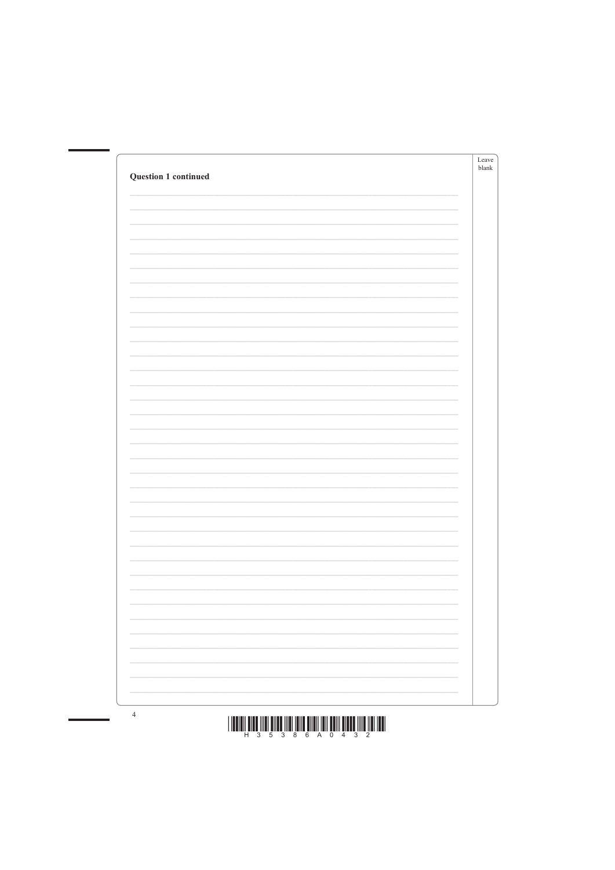| <b>Question 1 continued</b> | Leave<br>blank |
|-----------------------------|----------------|
|                             |                |
|                             |                |
|                             |                |
|                             |                |
|                             |                |
|                             |                |
|                             |                |
|                             |                |
|                             |                |
|                             |                |
|                             |                |
|                             |                |
|                             |                |
|                             |                |
|                             |                |
|                             |                |
|                             |                |
|                             |                |
|                             |                |
|                             |                |
|                             |                |





 $\overline{4}$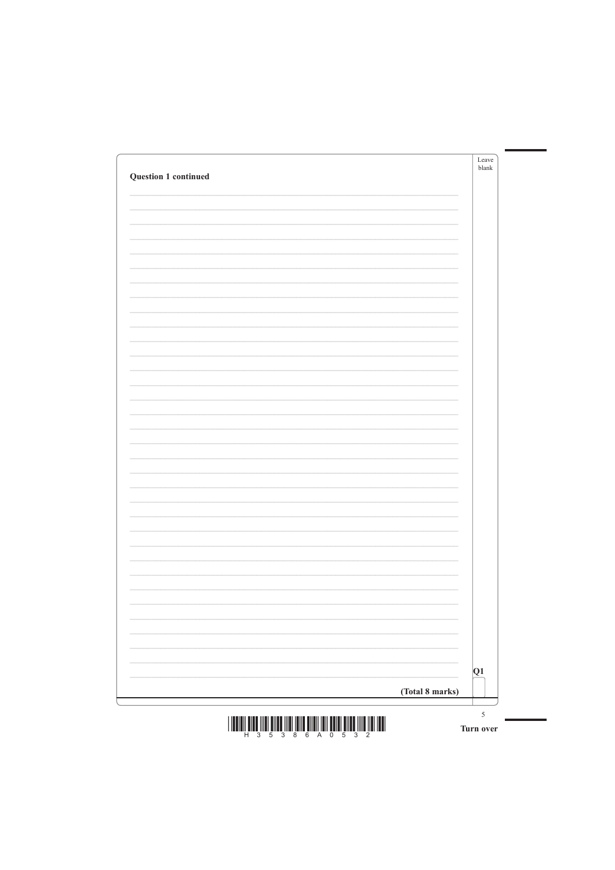| Question 1 continued | Leave<br>blank |
|----------------------|----------------|
|                      |                |
|                      |                |
|                      |                |
|                      |                |
|                      |                |
|                      |                |
|                      |                |
|                      |                |
|                      |                |
|                      |                |
|                      |                |
|                      |                |
|                      |                |
|                      |                |
|                      |                |
|                      |                |
|                      |                |
|                      |                |
|                      |                |
|                      |                |
|                      |                |
|                      |                |

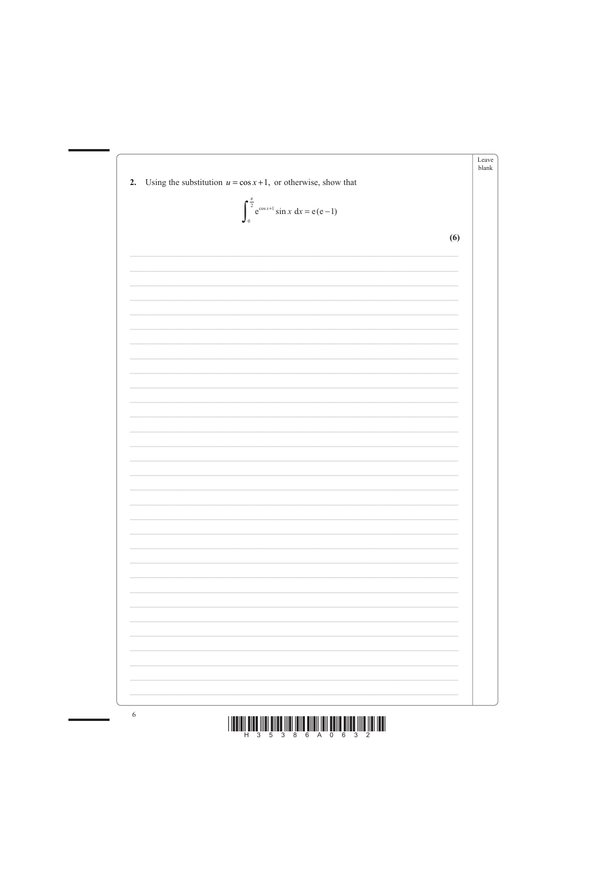





 $\sqrt{6}$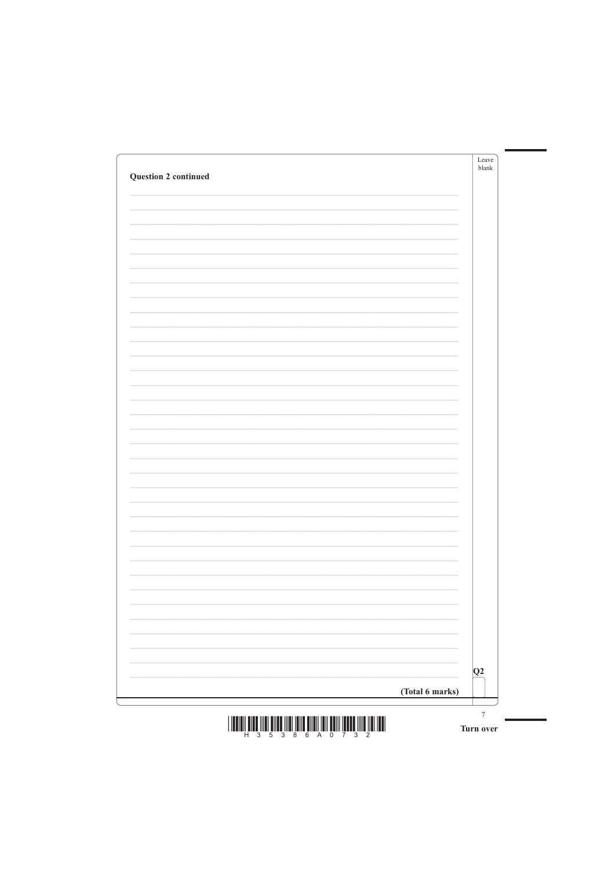| <b>Question 2 continued</b> | Leave<br>blank |
|-----------------------------|----------------|
|                             |                |
|                             |                |
|                             |                |
|                             |                |
|                             |                |
|                             |                |
|                             |                |
|                             |                |
|                             |                |
|                             |                |
|                             |                |
|                             |                |
|                             |                |
|                             |                |
|                             |                |
|                             |                |
|                             |                |
|                             |                |
|                             |                |
|                             |                |
|                             |                |



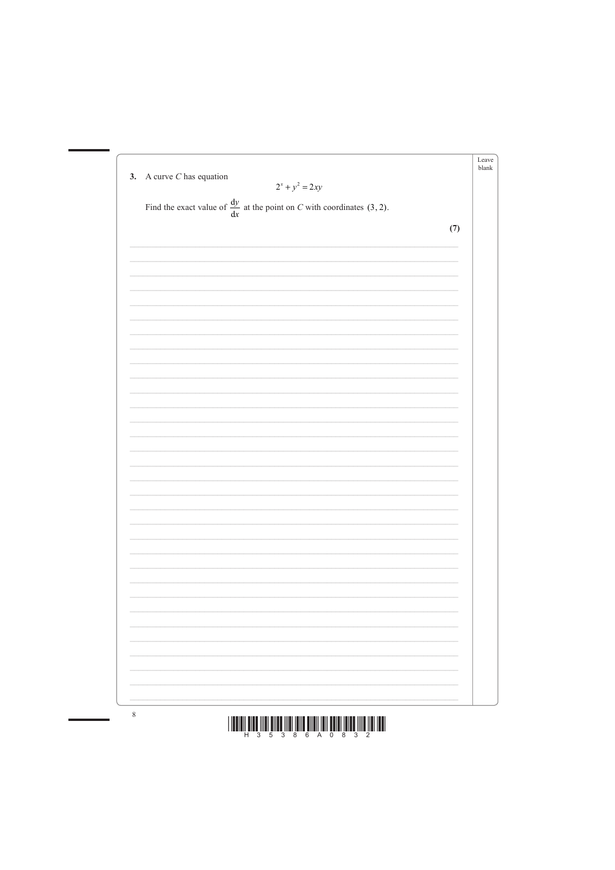





 $\, 8$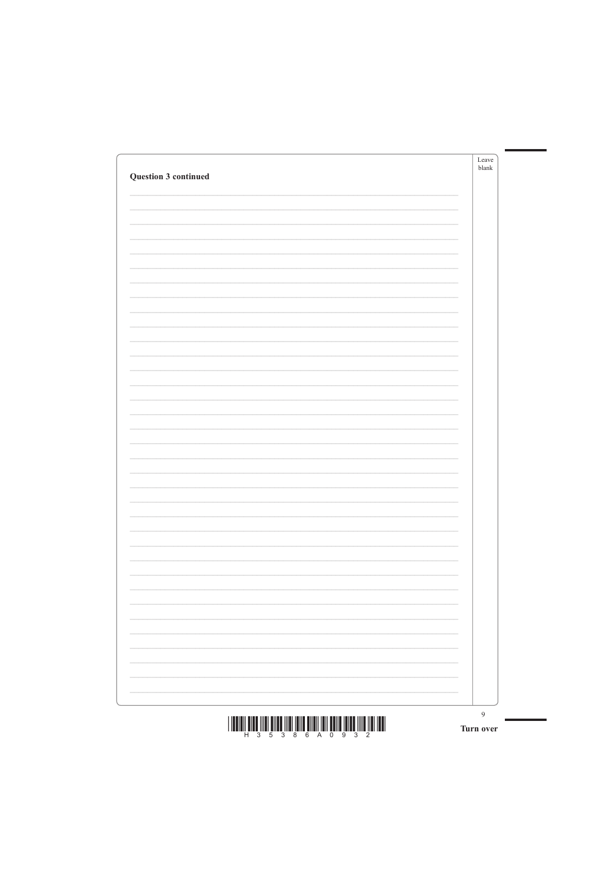| Question 3 continued | Leave<br>blank |
|----------------------|----------------|
|                      |                |
|                      |                |
|                      |                |
|                      |                |
|                      |                |
|                      |                |
|                      |                |
|                      |                |
|                      |                |
|                      |                |
|                      |                |
|                      |                |
|                      |                |
|                      |                |
|                      |                |
|                      |                |
|                      |                |
|                      |                |
|                      |                |
|                      |                |
|                      |                |

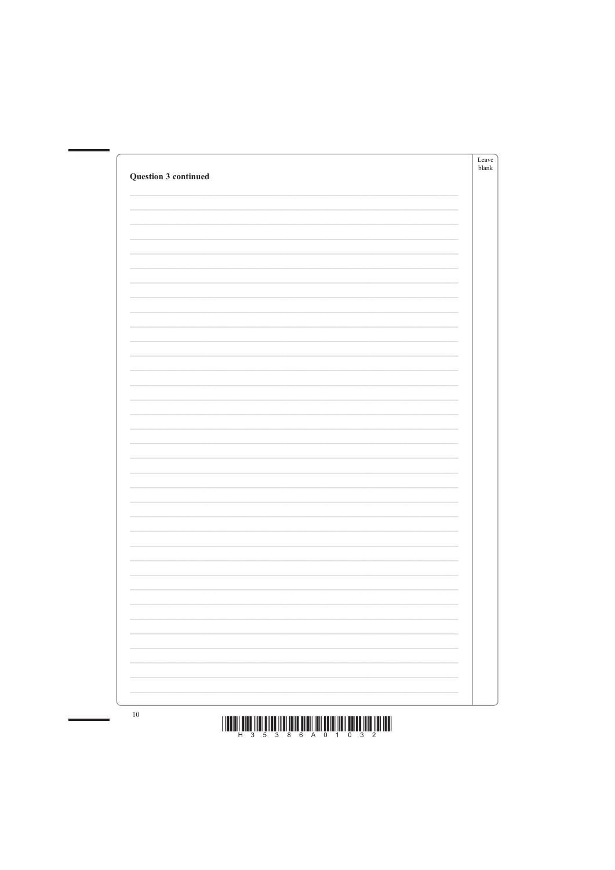| <b>Question 3 continued</b> | Leave<br>blank |
|-----------------------------|----------------|
|                             |                |
|                             |                |
|                             |                |
|                             |                |
|                             |                |
|                             |                |
|                             |                |
|                             |                |
|                             |                |
|                             |                |
|                             |                |
|                             |                |
|                             |                |
|                             |                |
|                             |                |
|                             |                |
|                             |                |
|                             |                |
|                             |                |
|                             |                |
|                             |                |



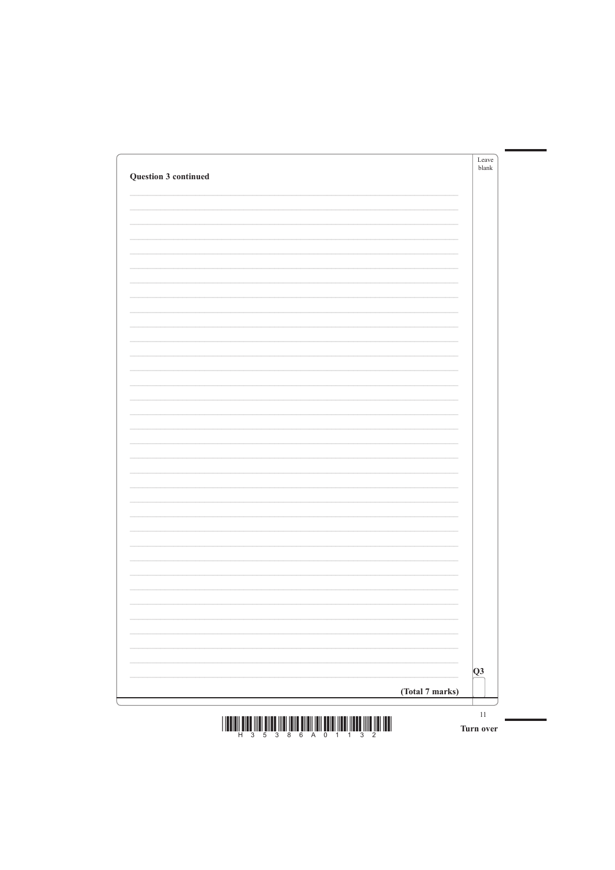| Question 3 continued | Leave<br>blank |
|----------------------|----------------|
|                      |                |
|                      |                |
|                      |                |
|                      |                |
|                      |                |
|                      |                |
|                      |                |
|                      |                |
|                      |                |
|                      |                |
|                      |                |
|                      |                |
|                      |                |
|                      |                |
|                      |                |
|                      |                |
|                      |                |
|                      |                |
|                      | -              |

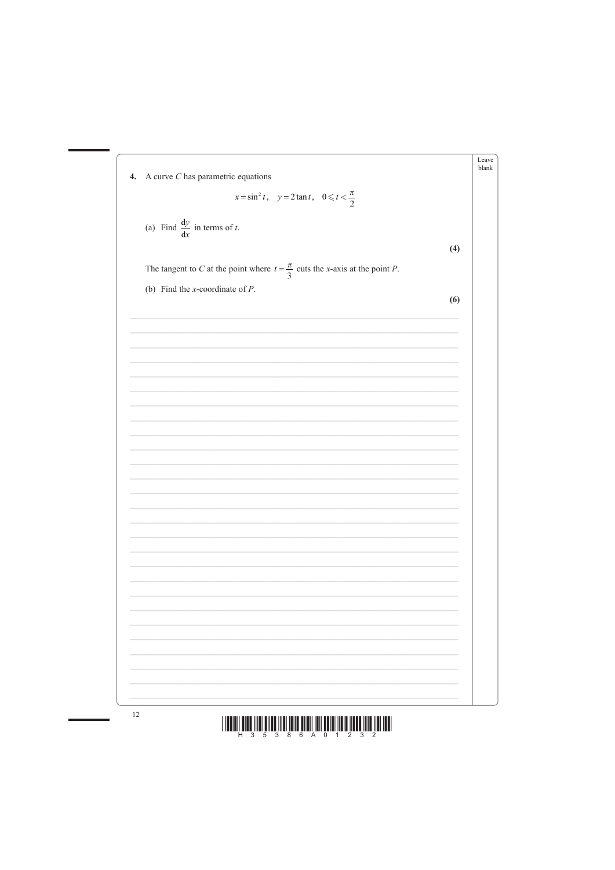



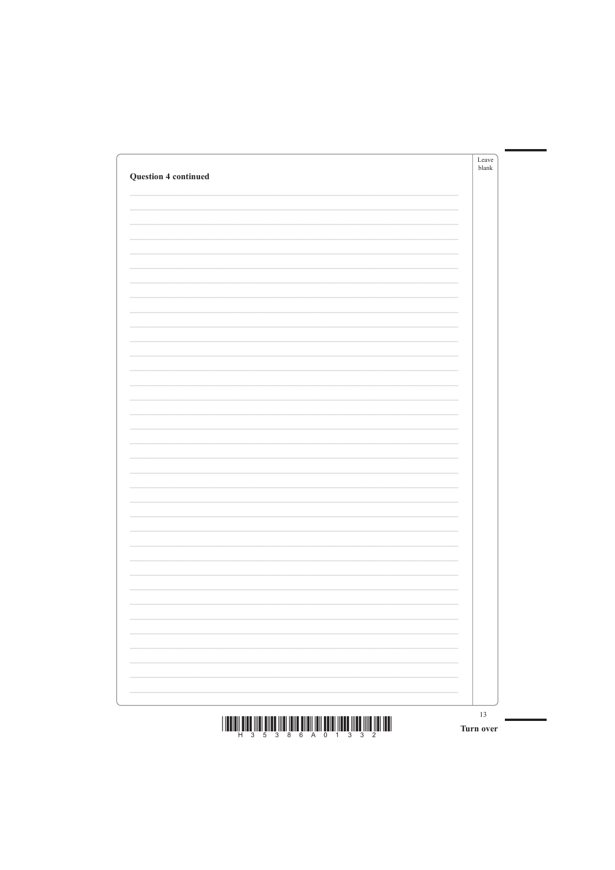| <b>Question 4 continued</b> |   | Leave<br>blank |
|-----------------------------|---|----------------|
|                             |   |                |
|                             |   |                |
|                             |   |                |
|                             |   |                |
|                             |   |                |
|                             |   |                |
|                             |   |                |
|                             |   |                |
|                             |   |                |
|                             |   |                |
|                             |   |                |
|                             |   |                |
|                             |   |                |
|                             |   |                |
|                             |   |                |
|                             |   |                |
|                             |   |                |
|                             |   |                |
|                             | - |                |
|                             |   |                |

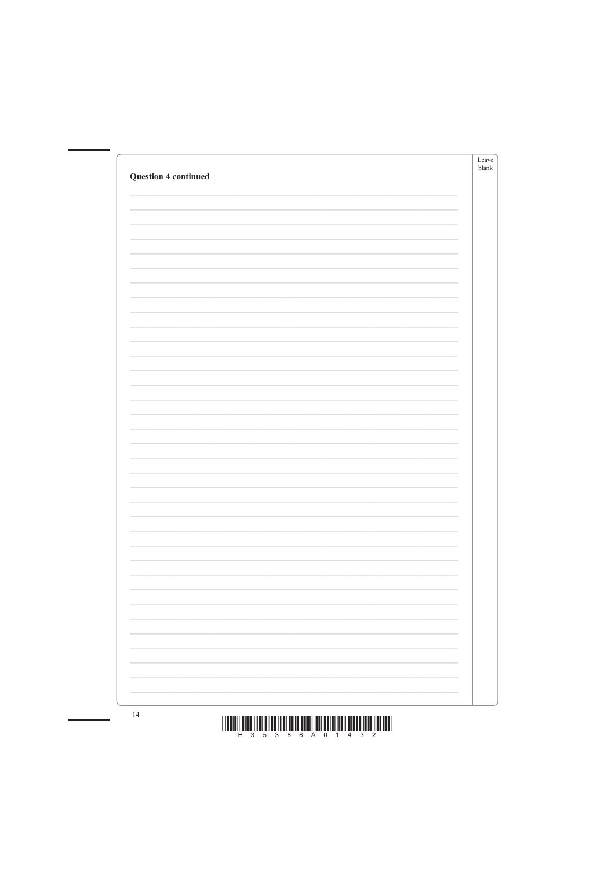| <b>Question 4 continued</b> | Leave<br>blank |
|-----------------------------|----------------|
|                             |                |
|                             |                |
|                             |                |
|                             |                |
|                             |                |
|                             |                |
|                             |                |
|                             |                |
|                             |                |
|                             |                |
|                             |                |
|                             |                |
|                             |                |
|                             |                |
|                             |                |
|                             |                |
|                             |                |
|                             |                |
|                             |                |
|                             |                |
|                             |                |



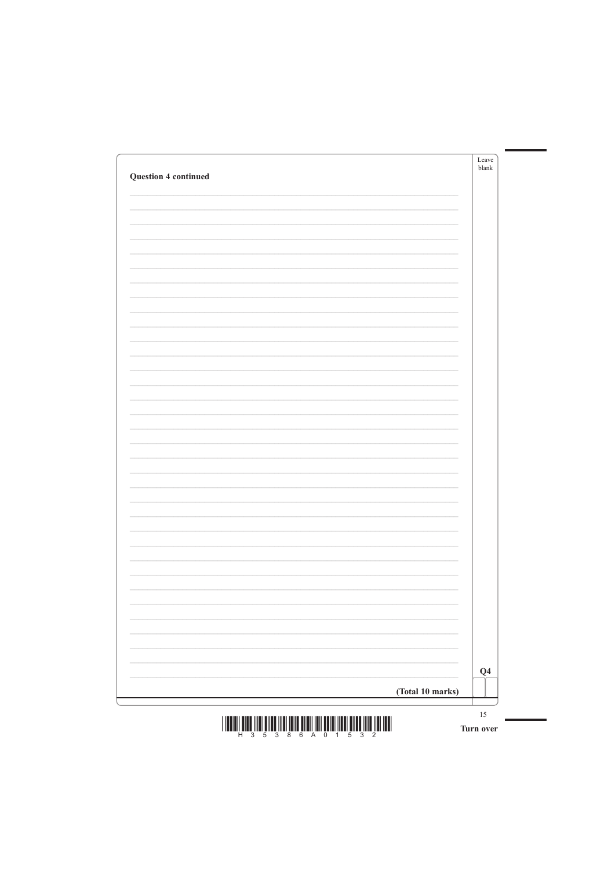| <b>Question 4 continued</b> | Leave<br>blank |
|-----------------------------|----------------|
|                             |                |
|                             |                |
|                             |                |
|                             |                |
|                             |                |
|                             |                |
|                             |                |
|                             |                |
|                             |                |
|                             |                |
|                             |                |
|                             |                |
|                             |                |
|                             |                |
|                             |                |
|                             |                |
|                             |                |
|                             |                |
|                             |                |
|                             |                |



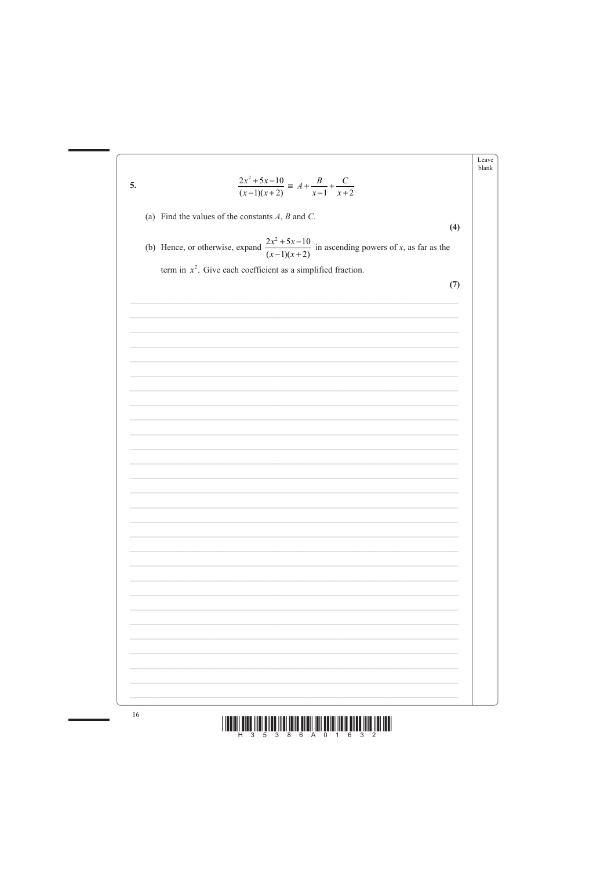



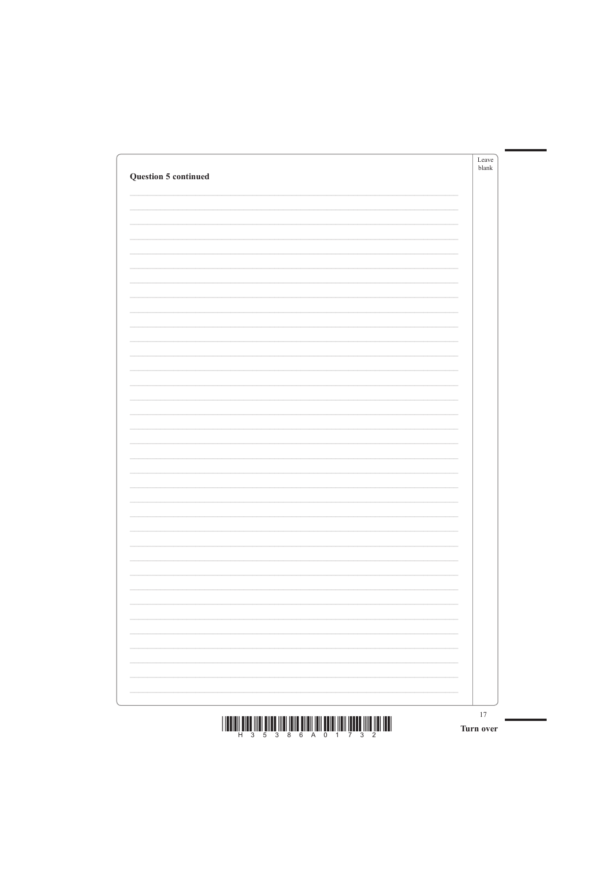| <b>Question 5 continued</b> | Leave<br>blank |
|-----------------------------|----------------|
|                             |                |
|                             |                |
|                             |                |
|                             |                |
|                             |                |
|                             |                |
|                             |                |
|                             |                |
|                             |                |
|                             |                |
|                             |                |
|                             |                |
|                             |                |
|                             |                |
|                             |                |
|                             |                |
|                             |                |
|                             |                |
|                             |                |
|                             |                |
|                             |                |
|                             |                |

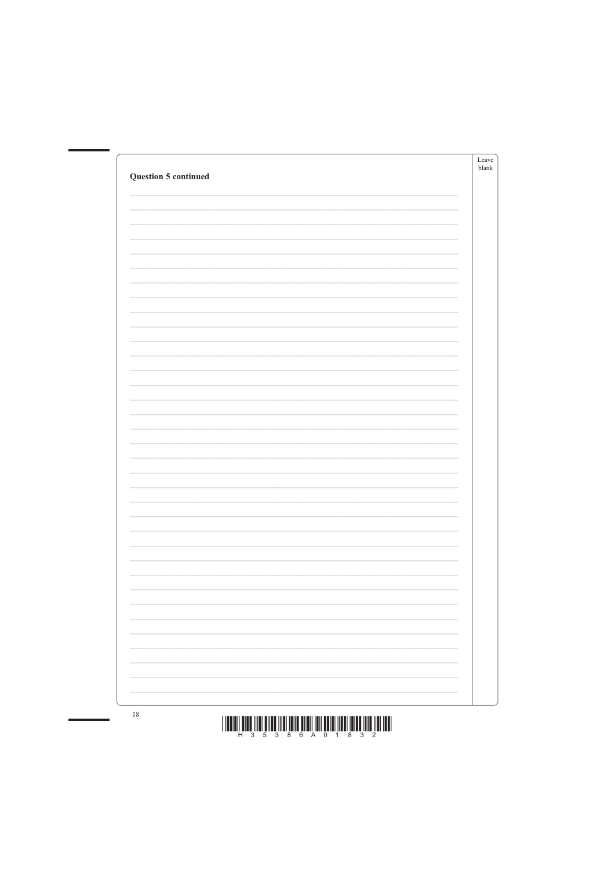| <b>Question 5 continued</b> | Leave<br>blank |
|-----------------------------|----------------|
|                             |                |
|                             |                |
|                             |                |
|                             |                |
|                             |                |
|                             |                |
|                             |                |
|                             |                |
|                             |                |
|                             |                |
|                             |                |
|                             |                |
|                             |                |
|                             |                |
|                             |                |
|                             |                |
|                             |                |
|                             |                |
|                             |                |
|                             |                |
|                             |                |
|                             |                |
|                             |                |



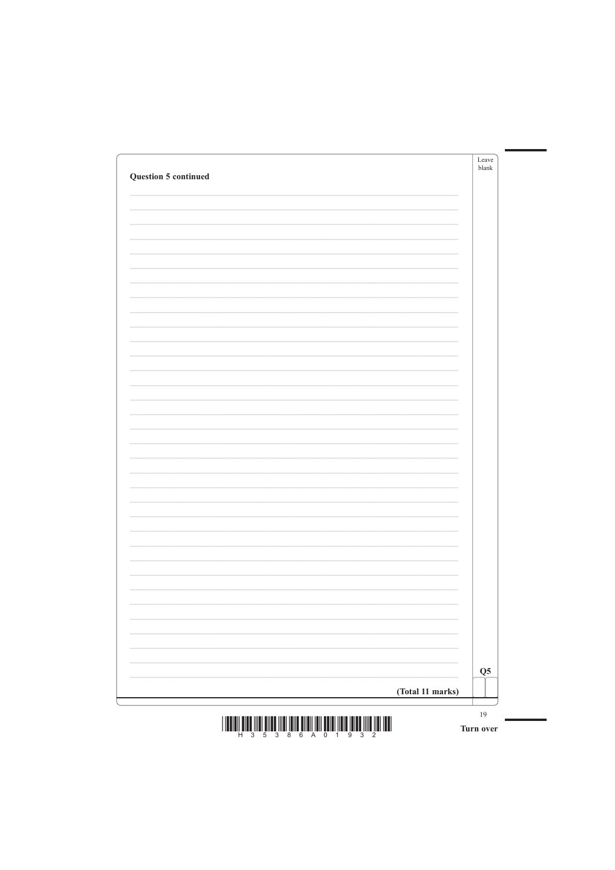| <b>Question 5 continued</b> | Leave<br>blank |
|-----------------------------|----------------|
|                             |                |
|                             |                |
|                             |                |
|                             |                |
|                             |                |
|                             |                |
|                             |                |
|                             |                |
|                             |                |
|                             |                |
|                             |                |
|                             |                |
|                             |                |
|                             |                |
|                             |                |
|                             |                |
|                             |                |
|                             |                |
|                             |                |
|                             |                |
|                             |                |
|                             |                |

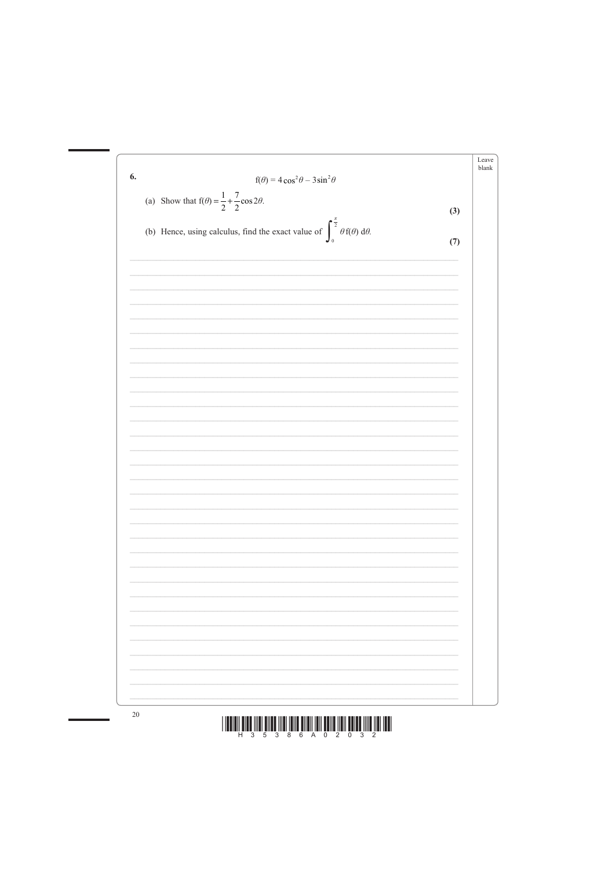



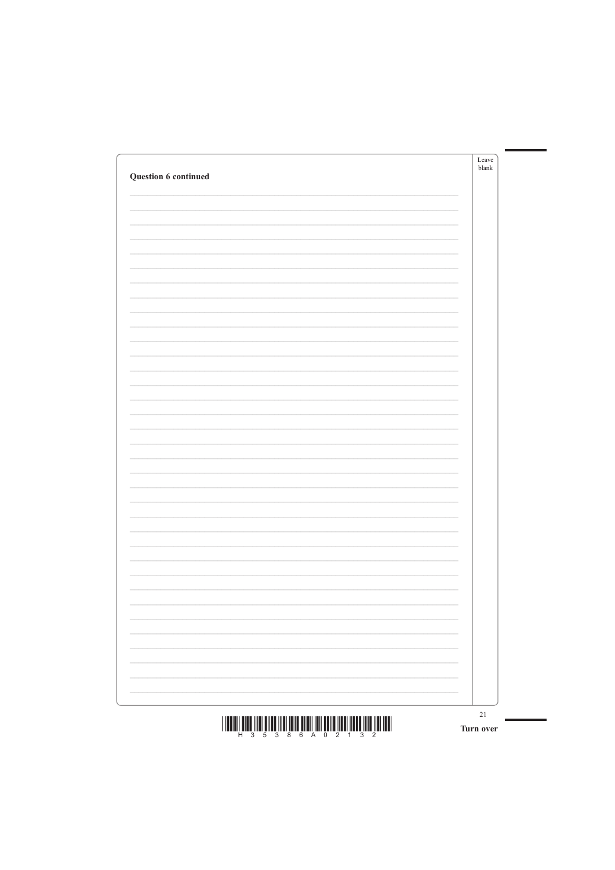| Question 6 continued | Leave<br>blank           |
|----------------------|--------------------------|
|                      |                          |
|                      |                          |
|                      |                          |
|                      |                          |
|                      |                          |
|                      |                          |
|                      |                          |
|                      |                          |
|                      |                          |
|                      |                          |
|                      |                          |
|                      |                          |
|                      |                          |
|                      |                          |
|                      |                          |
|                      |                          |
|                      |                          |
|                      |                          |
|                      |                          |
|                      |                          |
|                      | $\overline{\phantom{0}}$ |

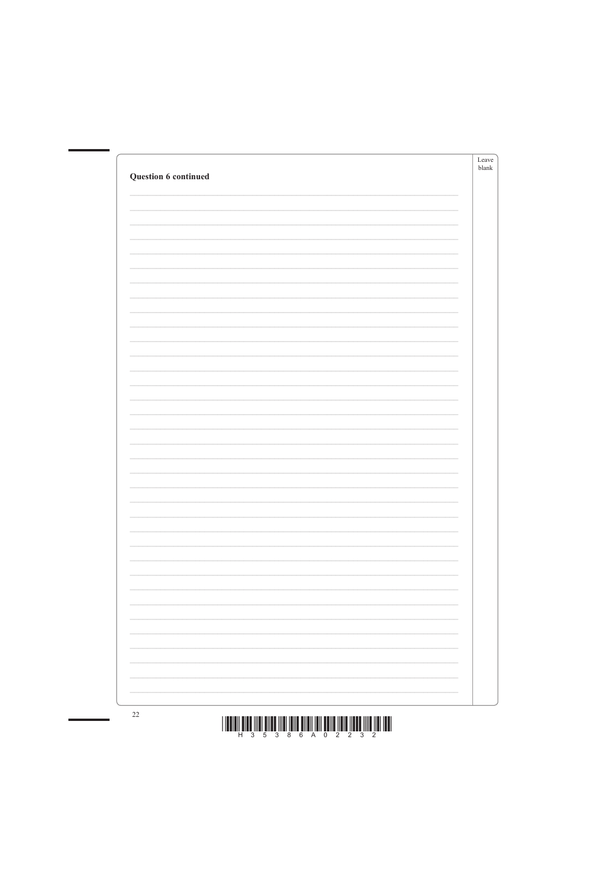| <b>Question 6 continued</b> | Leave<br>$b$ lank |
|-----------------------------|-------------------|
|                             |                   |
|                             |                   |
|                             |                   |
|                             |                   |
|                             |                   |
|                             |                   |
|                             |                   |
|                             |                   |
|                             |                   |
|                             |                   |
|                             |                   |
|                             |                   |
|                             |                   |
|                             |                   |
|                             |                   |
|                             |                   |



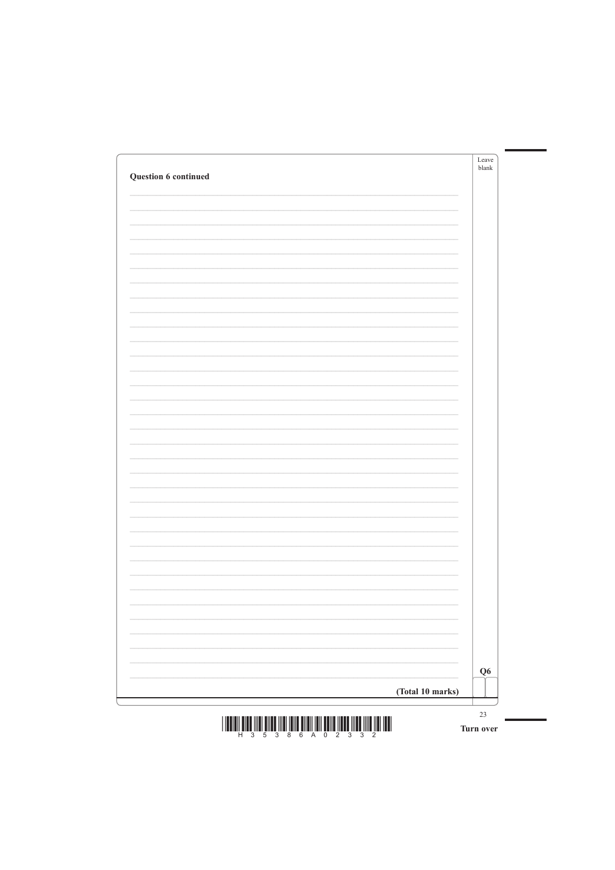| Question 6 continued | Leave<br>blank           |
|----------------------|--------------------------|
|                      |                          |
|                      |                          |
|                      |                          |
|                      |                          |
|                      |                          |
|                      |                          |
|                      |                          |
|                      |                          |
|                      |                          |
|                      |                          |
|                      |                          |
|                      |                          |
|                      |                          |
|                      |                          |
|                      |                          |
|                      |                          |
|                      |                          |
|                      |                          |
|                      | $\overline{\phantom{0}}$ |
|                      |                          |



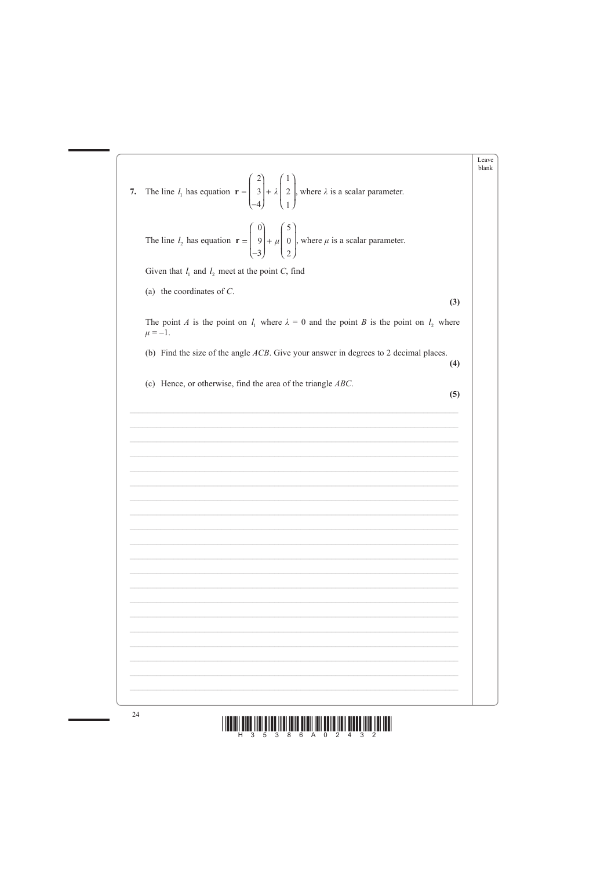



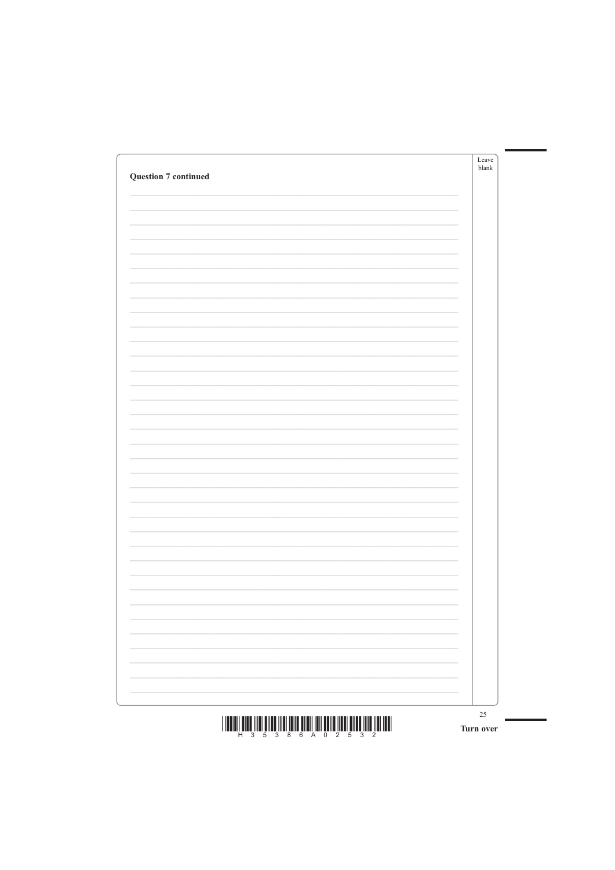| <b>Question 7 continued</b> |                          | Leave<br>blank |
|-----------------------------|--------------------------|----------------|
|                             |                          |                |
|                             |                          |                |
|                             |                          |                |
|                             |                          |                |
|                             |                          |                |
|                             |                          |                |
|                             |                          |                |
|                             |                          |                |
|                             |                          |                |
|                             |                          |                |
|                             |                          |                |
|                             |                          |                |
|                             |                          |                |
|                             |                          |                |
|                             | -                        |                |
|                             |                          |                |
|                             |                          |                |
|                             |                          |                |
|                             | $\overline{\phantom{a}}$ |                |
|                             |                          |                |

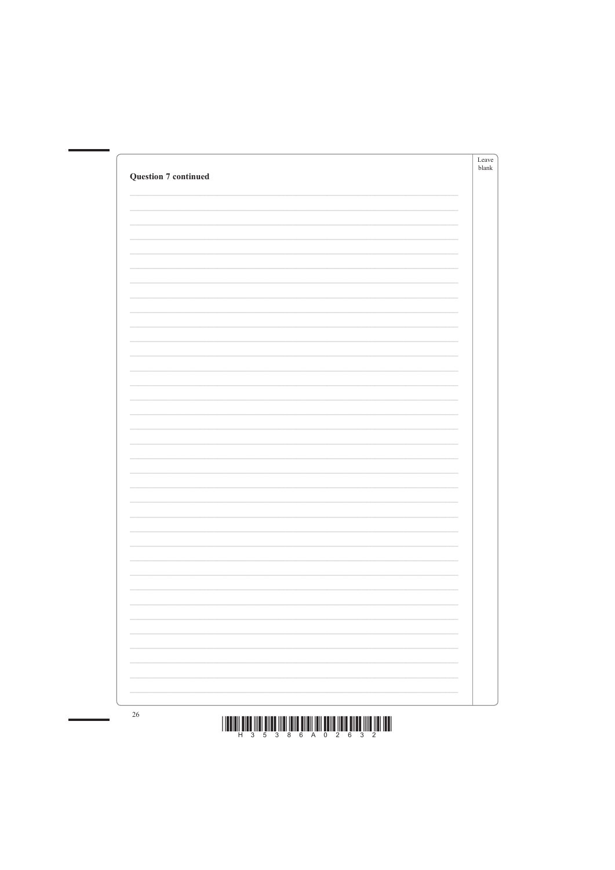| <b>Question 7 continued</b> | Leave<br>$b$ lank |
|-----------------------------|-------------------|
|                             |                   |
|                             |                   |
|                             |                   |
|                             |                   |
|                             |                   |
|                             |                   |
|                             |                   |
|                             |                   |
|                             |                   |
|                             |                   |
|                             |                   |
|                             |                   |
|                             |                   |
|                             |                   |
|                             |                   |
|                             |                   |
|                             |                   |
|                             |                   |
|                             |                   |



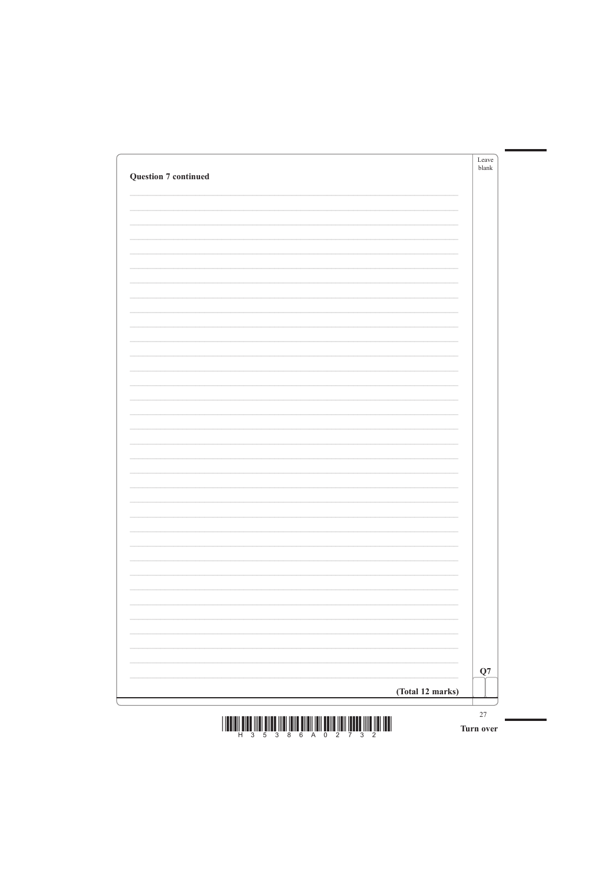| <b>Question 7 continued</b> | Leave<br>blank |
|-----------------------------|----------------|
|                             |                |
|                             |                |
|                             |                |
|                             |                |
|                             |                |
|                             |                |
|                             |                |
|                             |                |
|                             |                |
|                             |                |
|                             |                |
|                             |                |
|                             |                |
|                             |                |
|                             |                |
|                             |                |
|                             |                |
|                             |                |
|                             |                |
|                             |                |
|                             |                |



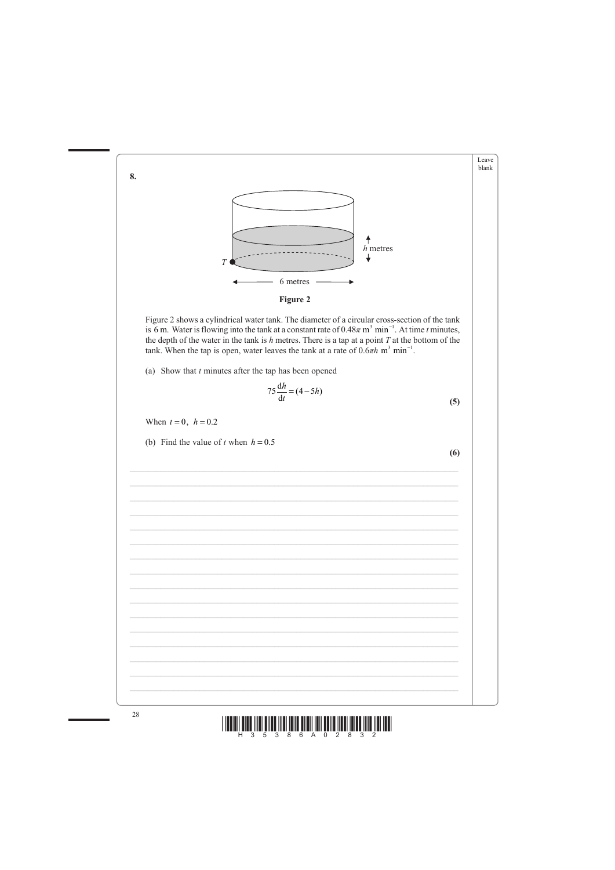



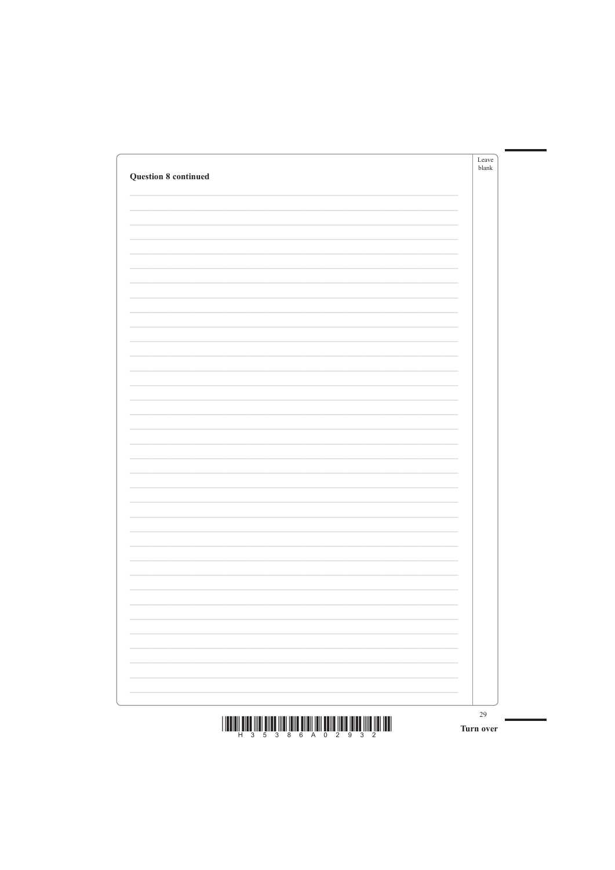| <b>Question 8 continued</b> | Leave<br>$b$ lank |
|-----------------------------|-------------------|
|                             |                   |
|                             |                   |
|                             |                   |
|                             |                   |
|                             |                   |
|                             |                   |
|                             |                   |
|                             |                   |
|                             |                   |
|                             |                   |
|                             |                   |
|                             |                   |
|                             |                   |
|                             |                   |
|                             |                   |
|                             |                   |
|                             |                   |
|                             |                   |
|                             |                   |
|                             |                   |
|                             |                   |
|                             |                   |
|                             |                   |

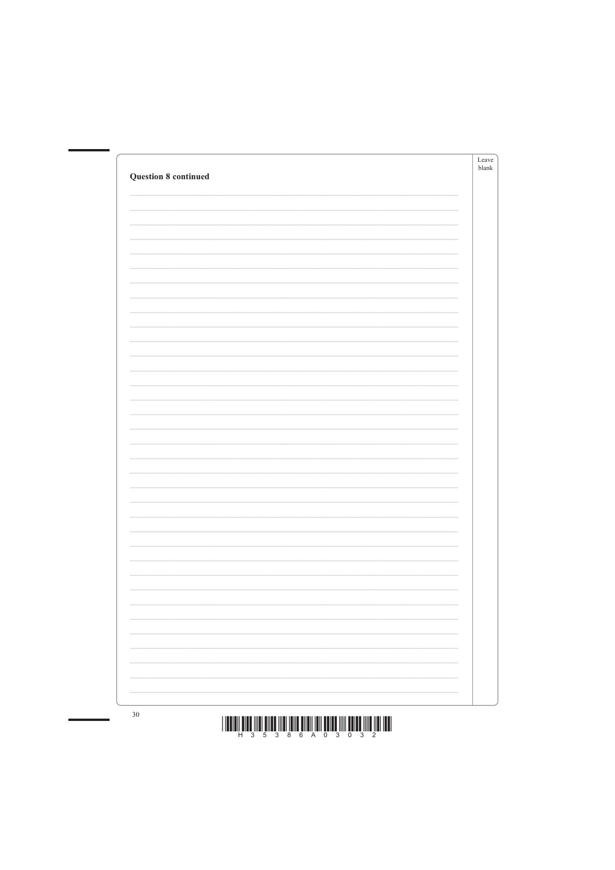| <b>Question 8 continued</b> | Leave<br>$b$ lank |
|-----------------------------|-------------------|
|                             |                   |
|                             |                   |
|                             |                   |
|                             |                   |
|                             |                   |
|                             |                   |
|                             |                   |
|                             |                   |
|                             |                   |
|                             |                   |
|                             |                   |
|                             |                   |
|                             |                   |
|                             |                   |
|                             |                   |
|                             |                   |



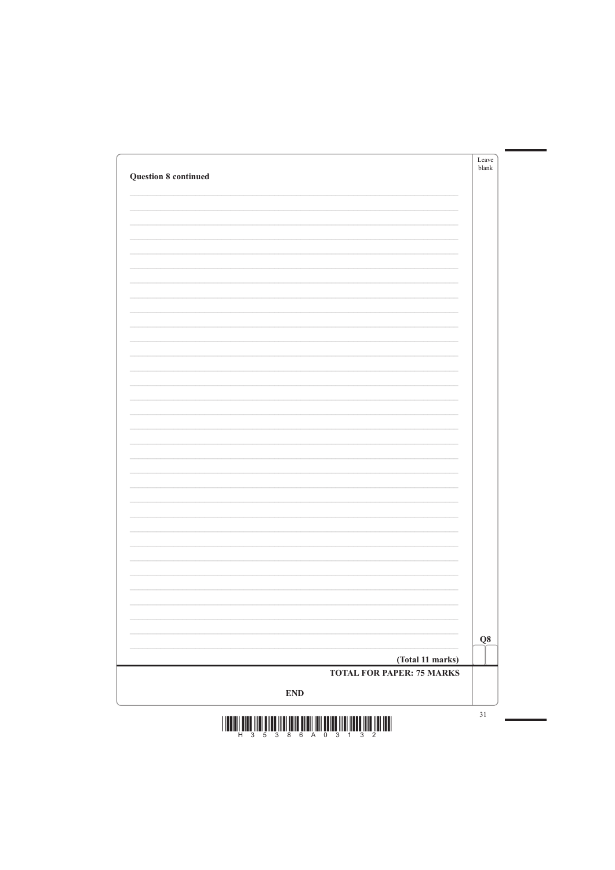| <b>Question 8 continued</b> | Leave<br>$b$ lank |
|-----------------------------|-------------------|
|                             |                   |
|                             |                   |
|                             |                   |
|                             |                   |
|                             |                   |
|                             |                   |
|                             |                   |
|                             |                   |
|                             |                   |
|                             |                   |
|                             |                   |
|                             |                   |
|                             |                   |
|                             |                   |
|                             |                   |
|                             |                   |
|                             | Q8                |